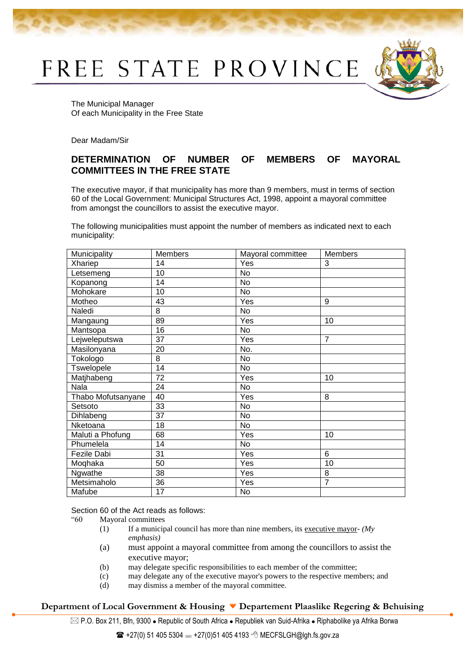FREE STATE PROVINCE



The Municipal Manager Of each Municipality in the Free State

Dear Madam/Sir

## **DETERMINATION OF NUMBER OF MEMBERS OF MAYORAL COMMITTEES IN THE FREE STATE**

The executive mayor, if that municipality has more than 9 members, must in terms of section 60 of the Local Government: Municipal Structures Act, 1998, appoint a mayoral committee from amongst the councillors to assist the executive mayor.

The following municipalities must appoint the number of members as indicated next to each municipality:

| Municipality       | <b>Members</b>  | Mayoral committee | <b>Members</b>  |
|--------------------|-----------------|-------------------|-----------------|
| Xhariep            | 14              | Yes               | 3               |
| Letsemeng          | 10              | No                |                 |
| Kopanong           | $\overline{14}$ | No                |                 |
| Mohokare           | 10              | <b>No</b>         |                 |
| Motheo             | 43              | Yes               | 9               |
| Naledi             | 8               | <b>No</b>         |                 |
| Mangaung           | 89              | Yes               | 10              |
| Mantsopa           | 16              | No                |                 |
| Lejweleputswa      | 37              | Yes               | $\overline{7}$  |
| Masilonyana        | 20              | No.               |                 |
| Tokologo           | $\overline{8}$  | <b>No</b>         |                 |
| Tswelopele         | 14              | <b>No</b>         |                 |
| Matjhabeng         | 72              | Yes               | 10              |
| Nala               | 24              | No                |                 |
| Thabo Mofutsanyane | 40              | Yes               | 8               |
| Setsoto            | 33              | No                |                 |
| Dihlabeng          | 37              | No                |                 |
| Nketoana           | 18              | <b>No</b>         |                 |
| Maluti a Phofung   | 68              | Yes               | 10              |
| Phumelela          | 14              | No                |                 |
| Fezile Dabi        | 31              | Yes               | 6               |
| Moqhaka            | 50              | Yes               | $\overline{10}$ |
| Ngwathe            | 38              | Yes               | 8               |
| Metsimaholo        | 36              | Yes               | $\overline{7}$  |
| Mafube             | 17              | No                |                 |

Section 60 of the Act reads as follows:

"60 Mayoral committees

- (1) If a municipal council has more than nine members, its executive mayor- *(My emphasis)*
- (a) must appoint a mayoral committee from among the councillors to assist the executive mayor;
- (b) may delegate specific responsibilities to each member of the committee;
- (c) may delegate any of the executive mayor's powers to the respective members; and
- (d) may dismiss a member of the mayoral committee.

## **Department of Local Government & Housing Departement Plaaslike Regering & Behuising**

 $\boxtimes$  P.O. Box 211, Bfn, 9300 • Republic of South Africa • Republiek van Suid-Afrika • Riphabolike ya Afrika Borwa